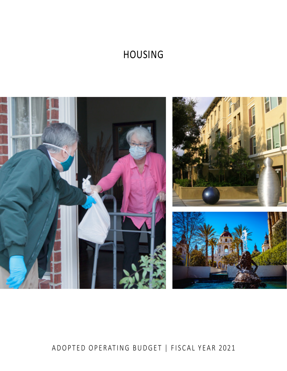# HOUSING



# ADOPTED OPERATING BUDGET | FISCAL YEAR 2021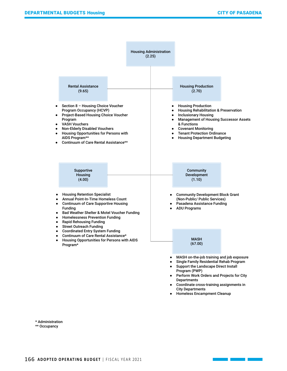

\* Administration \*\* Occupancy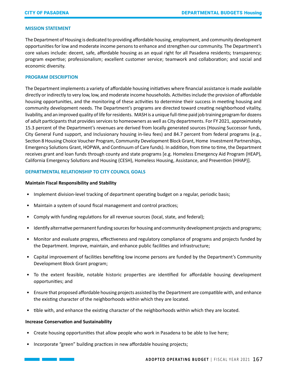## **MISSION STATEMENT**

The Department of Housing is dedicated to providing affordable housing, employment, and community development opportunities for low and moderate income persons to enhance and strengthen our community. The Department's core values include: decent, safe, affordable housing as an equal right for all Pasadena residents; transparency; program expertise; professionalism; excellent customer service; teamwork and collaboration; and social and economic diversity.

# **PROGRAM DESCRIPTION**

The Department implements a variety of affordable housing initiatives where financial assistance is made available directly or indirectly to very low, low, and moderate income households. Activities include the provision of affordable housing opportunities, and the monitoring of these activities to determine their success in meeting housing and community development needs. The Department's programs are directed toward creating neighborhood vitality, livability, and an improved quality of life for residents. MASH is a unique full-time paid job training program for dozens of adult participants that provides services to homeowners as well as City departments. For FY 2021, approximately 15.3 percent of the Department's revenues are derived from locally generated sources (Housing Successor funds, City General Fund support, and Inclusionary housing in-lieu fees) and 84.7 percent from federal programs (e.g., Section 8 Housing Choice Voucher Program, Community Development Block Grant, Home Investment Partnerships, Emergency Solutions Grant, HOPWA, and Continuum of Care funds). In addition, from time to time, the Department receives grant and loan funds through county and state programs [e.g. Homeless Emergency Aid Program (HEAP), California Emergency Solutions and Housing (CESH), Homeless Housing, Assistance, and Prevention (HHAP)].

# **DEPARTMENTAL RELATIONSHIP TO CITY COUNCIL GOALS**

#### **Maintain Fiscal Responsibility and Stability**

- Implement division-level tracking of department operating budget on a regular, periodic basis;
- Maintain a system of sound fiscal management and control practices;
- Comply with funding regulations for all revenue sources (local, state, and federal);
- Identify alternative permanent funding sources for housing and community development projects and programs;
- Monitor and evaluate progress, effectiveness and regulatory compliance of programs and projects funded by the Department. Improve, maintain, and enhance public facilities and infrastructure;
- Capital improvement of facilities benefiting low income persons are funded by the Department's Community Development Block Grant program;
- To the extent feasible, notable historic properties are identified for affordable housing development opportunities; and
- Ensure that proposed affordable housing projects assisted by the Department are compatible with, and enhance the existing character of the neighborhoods within which they are located.
- tible with, and enhance the existing character of the neighborhoods within which they are located.

#### **Increase Conservation and Sustainability**

- Create housing opportunities that allow people who work in Pasadena to be able to live here;
- Incorporate "green" building practices in new affordable housing projects;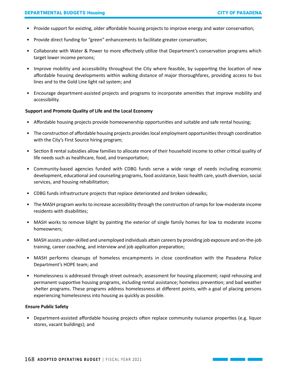- Provide support for existing, older affordable housing projects to improve energy and water conservation;
- Provide direct funding for "green" enhancements to facilitate greater conservation;
- Collaborate with Water & Power to more effectively utilize that Department's conservation programs which target lower income persons;
- Improve mobility and accessibility throughout the City where feasible, by supporting the location of new affordable housing developments within walking distance of major thoroughfares, providing access to bus lines and to the Gold Line light rail system; and
- Encourage department-assisted projects and programs to incorporate amenities that improve mobility and accessibility.

# **Support and Promote Quality of Life and the Local Economy**

- Affordable housing projects provide homeownership opportunities and suitable and safe rental housing;
- The construction of affordable housing projects provides local employment opportunities through coordination with the City's First Source hiring program;
- Section 8 rental subsidies allow families to allocate more of their household income to other critical quality of life needs such as healthcare, food, and transportation;
- Community-based agencies funded with CDBG funds serve a wide range of needs including economic development, educational and counseling programs, food assistance, basic health care, youth diversion, social services, and housing rehabilitation;
- CDBG funds infrastructure projects that replace deteriorated and broken sidewalks;
- The MASH program works to increase accessibility through the construction of ramps for low-moderate income residents with disabilities;
- MASH works to remove blight by painting the exterior of single family homes for low to moderate income homeowners;
- MASH assists under-skilled and unemployed individuals attain careers by providing job exposure and on-the-job training, career coaching, and interview and job application preparation;
- MASH performs cleanups of homeless encampments in close coordination with the Pasadena Police Department's HOPE team; and
- Homelessness is addressed through street outreach; assessment for housing placement; rapid rehousing and permanent supportive housing programs, including rental assistance; homeless prevention; and bad weather shelter programs. These programs address homelessness at different points, with a goal of placing persons experiencing homelessness into housing as quickly as possible.

# **Ensure Public Safety**

• Department-assisted affordable housing projects often replace community nuisance properties (e.g. liquor stores, vacant buildings); and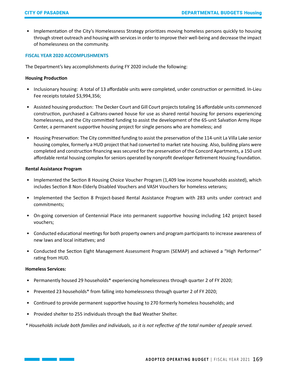• Implementation of the City's Homelessness Strategy prioritizes moving homeless persons quickly to housing through street outreach and housing with services in order to improve their well-being and decrease the impact of homelessness on the community.

# **FISCAL YEAR 2020 ACCOMPLISHMENTS**

The Department's key accomplishments during FY 2020 include the following:

# **Housing Production**

- Inclusionary housing: A total of 13 affordable units were completed, under construction or permitted. In-Lieu Fee receipts totaled \$3,994,356;
- Assisted housing production: The Decker Court and Gill Court projects totaling 16 affordable units commenced construction, purchased a Caltrans-owned house for use as shared rental housing for persons experiencing homelessness, and the City committed funding to assist the development of the 65-unit Salvation Army Hope Center, a permanent supportive housing project for single persons who are homeless; and
- Housing Preservation: The City committed funding to assist the preservation of the 114-unit La Villa Lake senior housing complex, formerly a HUD project that had converted to market rate housing. Also, building plans were completed and construction financing was secured for the preservation of the Concord Apartments, a 150 unit affordable rental housing complex for seniors operated by nonprofit developer Retirement Housing Foundation.

# **Rental Assistance Program**

- Implemented the Section 8 Housing Choice Voucher Program (1,409 low income households assisted), which includes Section 8 Non-Elderly Disabled Vouchers and VASH Vouchers for homeless veterans;
- Implemented the Section 8 Project-based Rental Assistance Program with 283 units under contract and commitments;
- On-going conversion of Centennial Place into permanent supportive housing including 142 project based vouchers;
- Conducted educational meetings for both property owners and program participants to increase awareness of new laws and local initiatives; and
- Conducted the Section Eight Management Assessment Program (SEMAP) and achieved a "High Performer" rating from HUD.

# **Homeless Services:**

- Permanently housed 29 households\* experiencing homelessness through quarter 2 of FY 2020;
- Prevented 23 households\* from falling into homelessness through quarter 2 of FY 2020;
- Continued to provide permanent supportive housing to 270 formerly homeless households; and
- Provided shelter to 255 individuals through the Bad Weather Shelter.

*\* Households include both families and individuals, so it is not reflective of the total number of people served.*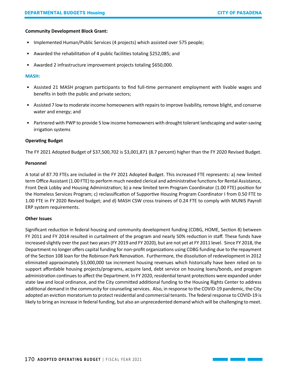# **Community Development Block Grant:**

- Implemented Human/Public Services (4 projects) which assisted over 575 people;
- Awarded the rehabilitation of 4 public facilities totaling \$252,085; and
- Awarded 2 infrastructure improvement projects totaling \$650,000.

# **MASH:**

- Assisted 21 MASH program participants to find full-time permanent employment with livable wages and benefits in both the public and private sectors;
- Assisted 7 low to moderate income homeowners with repairs to improve livability, remove blight, and conserve water and energy; and
- Partnered with PWP to provide 5 low income homeowners with drought tolerant landscaping and water-saving irrigation systems

# **Operating Budget**

The FY 2021 Adopted Budget of \$37,500,702 is \$3,001,871 (8.7 percent) higher than the FY 2020 Revised Budget.

# **Personnel**

A total of 87.70 FTEs are included in the FY 2021 Adopted Budget. This increased FTE represents: a) new limited term Office Assistant (1.00 FTE) to perform much needed clerical and administrative functions for Rental Assistance, Front Desk Lobby and Housing Administration; b) a new limited term Program Coordinator (1.00 FTE) position for the Homeless Services Program; c) reclassification of Supportive Housing Program Coordinator I from 0.50 FTE to 1.00 FTE in FY 2020 Revised budget; and d) MASH CSW cross trainees of 0.24 FTE to comply with MUNIS Payroll ERP system requirements.

# **Other Issues**

Significant reduction in federal housing and community development funding (CDBG, HOME, Section 8) between FY 2011 and FY 2014 resulted in curtailment of the program and nearly 50% reduction in staff. These funds have increased slightly over the past two years (FY 2019 and FY 2020), but are not yet at FY 2011 level. Since FY 2018, the Department no longer offers capital funding for non-profit organizations using CDBG funding due to the repayment of the Section 108 loan for the Robinson Park Renovation. Furthermore, the dissolution of redevelopment in 2012 eliminated approximately \$3,000,000 tax increment housing revenues which historically have been relied on to support affordable housing projects/programs, acquire land, debt service on housing loans/bonds, and program administration continues to affect the Department. In FY 2020, residential tenant protections were expanded under state law and local ordinance, and the City committed additional funding to the Housing Rights Center to address additional demand in the community for counseling services. Also, in response to the COVID-19 pandemic, the City adopted an eviction moratorium to protect residential and commercial tenants. The federal response to COVID-19 is likely to bring an increase in federal funding, but also an unprecedented demand which will be challenging to meet.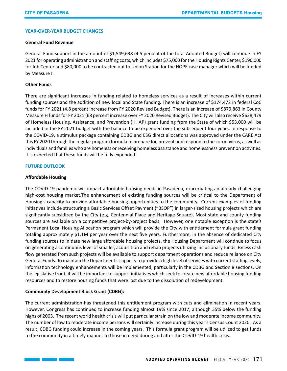#### **YEAR-OVER-YEAR BUDGET CHANGES**

# **General Fund Revenue**

General Fund support in the amount of \$1,549,638 (4.5 percent of the total Adopted Budget) will continue in FY 2021 for operating administration and staffing costs, which includes \$75,000 for the Housing Rights Center, \$190,000 for Job Center and \$80,000 to be contracted out to Union Station for the HOPE case manager which will be funded by Measure I.

# **Other Funds**

There are significant increases in funding related to homeless services as a result of increases within current funding sources and the addition of new local and State funding. There is an increase of \$174,472 in federal CoC funds for FY 2021 (4.8 percent increase from FY 2020 Revised Budget). There is an increase of \$879,863 in County Measure H funds for FY 2021 (68 percent increase over FY 2020 Revised Budget). The City will also receive \$638,479 of Homeless Housing, Assistance, and Prevention (HHAP) grant funding from the State of which \$53,000 will be included in the FY 2021 budget with the balance to be expended over the subsequent four years. In response to the COVID-19, a stimulus package containing CDBG and ESG direct allocations was approved under the CARE Act this FY 2020 through the regular program formula to prepare for, prevent and respond to the coronavirus, as well as individuals and families who are homeless or receiving homeless assistance and homelessness prevention activities. It is expected that these funds will be fully expended.

# **FUTURE OUTLOOK**

# **Affordable Housing**

The COVID-19 pandemic will impact affordable housing needs in Pasadena, exacerbating an already challenging high-cost housing market.The enhancement of existing funding sources will be critical to the Department of Housing's capacity to provide affordable housing opportunities to the community. Current examples of funding initiatives include structuring a Basic Services Offset Payment ("BSOP") in larger-sized housing projects which are significantly subsidized by the City (e.g. Centennial Place and Heritage Square). Most state and county funding sources are available on a competitive project-by-project basis. However, one notable exception is the state's Permanent Local Housing Allocation program which will provide the City with entitlement formula grant funding totaling approximately \$1.1M per year over the next five years. Furthermore, in the absence of dedicated City funding sources to initiate new large affordable housing projects, the Housing Department will continue to focus on generating a continuous level of smaller, acquisition and rehab projects utilizing Inclusionary funds. Excess cash flow generated from such projects will be available to support department operations and reduce reliance on City General Funds. To maintain the Department's capacity to provide a high level of services with current staffing levels, information technology enhancements will be implemented, particularly in the CDBG and Section 8 sections. On the legislative front, it will be important to support initiatives which seek to create new affordable housing funding resources and to restore housing funds that were lost due to the dissolution of redevelopment.

# **Community Development Block Grant (CDBG):**

The current administration has threatened this entitlement program with cuts and elimination in recent years. However, Congress has continued to increase funding almost 19% since 2017, although 35% below the funding highs of 2003. The recent world health crisis will put particular strain on the low and moderate income community. The number of low to moderate income persons will certainly increase during this year's Census Count 2020. As a result, CDBG funding could increase in the coming years. This formula grant program will be utilized to get funds to the community in a timely manner to those in need during and after the COVID-19 health crisis.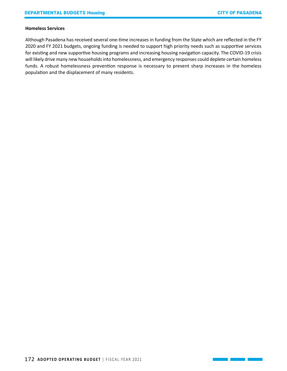#### **Homeless Services**

Although Pasadena has received several one-time increases in funding from the State which are reflected in the FY 2020 and FY 2021 budgets, ongoing funding is needed to support high priority needs such as supportive services for existing and new supportive housing programs and increasing housing navigation capacity. The COVID-19 crisis will likely drive many new households into homelessness, and emergency responses could deplete certain homeless funds. A robust homelessness prevention response is necessary to prevent sharp increases in the homeless population and the displacement of many residents.